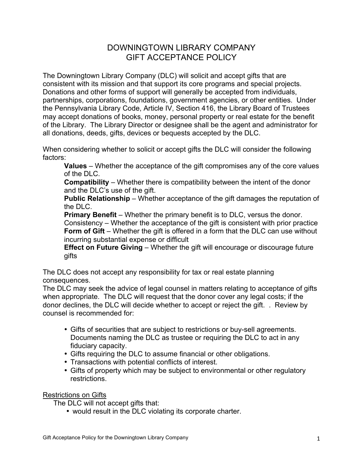## DOWNINGTOWN LIBRARY COMPANY GIFT ACCEPTANCE POLICY

The Downingtown Library Company (DLC) will solicit and accept gifts that are consistent with its mission and that support its core programs and special projects. Donations and other forms of support will generally be accepted from individuals, partnerships, corporations, foundations, government agencies, or other entities. Under the Pennsylvania Library Code, Article IV, Section 416, the Library Board of Trustees may accept donations of books, money, personal property or real estate for the benefit of the Library. The Library Director or designee shall be the agent and administrator for all donations, deeds, gifts, devices or bequests accepted by the DLC.

When considering whether to solicit or accept gifts the DLC will consider the following factors:

**Values** – Whether the acceptance of the gift compromises any of the core values of the DLC.

**Compatibility** – Whether there is compatibility between the intent of the donor and the DLC's use of the gift.

**Public Relationship** – Whether acceptance of the gift damages the reputation of the DLC.

**Primary Benefit** – Whether the primary benefit is to DLC, versus the donor. Consistency – Whether the acceptance of the gift is consistent with prior practice **Form of Gift** – Whether the gift is offered in a form that the DLC can use without incurring substantial expense or difficult

**Effect on Future Giving** – Whether the gift will encourage or discourage future gifts

The DLC does not accept any responsibility for tax or real estate planning consequences.

The DLC may seek the advice of legal counsel in matters relating to acceptance of gifts when appropriate. The DLC will request that the donor cover any legal costs; if the donor declines, the DLC will decide whether to accept or reject the gift. . Review by counsel is recommended for:

- Gifts of securities that are subject to restrictions or buy-sell agreements. Documents naming the DLC as trustee or requiring the DLC to act in any fiduciary capacity.
- Gifts requiring the DLC to assume financial or other obligations.
- Transactions with potential conflicts of interest.
- Gifts of property which may be subject to environmental or other regulatory restrictions.

Restrictions on Gifts

The DLC will not accept gifts that:

• would result in the DLC violating its corporate charter.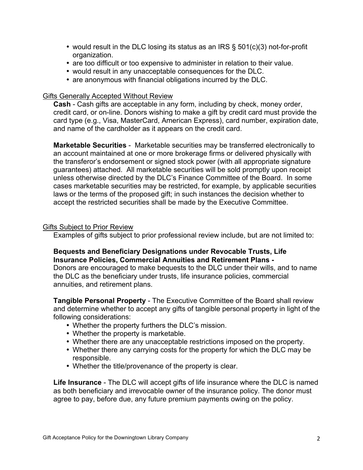- would result in the DLC losing its status as an IRS  $\S$  501(c)(3) not-for-profit organization.
- are too difficult or too expensive to administer in relation to their value.
- would result in any unacceptable consequences for the DLC.
- are anonymous with financial obligations incurred by the DLC.

## Gifts Generally Accepted Without Review

**Cash** - Cash gifts are acceptable in any form, including by check, money order, credit card, or on-line. Donors wishing to make a gift by credit card must provide the card type (e.g., Visa, MasterCard, American Express), card number, expiration date, and name of the cardholder as it appears on the credit card.

**Marketable Securities** - Marketable securities may be transferred electronically to an account maintained at one or more brokerage firms or delivered physically with the transferor's endorsement or signed stock power (with all appropriate signature guarantees) attached. All marketable securities will be sold promptly upon receipt unless otherwise directed by the DLC's Finance Committee of the Board. In some cases marketable securities may be restricted, for example, by applicable securities laws or the terms of the proposed gift; in such instances the decision whether to accept the restricted securities shall be made by the Executive Committee.

## Gifts Subject to Prior Review

Examples of gifts subject to prior professional review include, but are not limited to:

## **Bequests and Beneficiary Designations under Revocable Trusts, Life Insurance Policies, Commercial Annuities and Retirement Plans -**

Donors are encouraged to make bequests to the DLC under their wills, and to name the DLC as the beneficiary under trusts, life insurance policies, commercial annuities, and retirement plans.

**Tangible Personal Property** - The Executive Committee of the Board shall review and determine whether to accept any gifts of tangible personal property in light of the following considerations:

- Whether the property furthers the DLC's mission.
- Whether the property is marketable.
- Whether there are any unacceptable restrictions imposed on the property.
- Whether there any carrying costs for the property for which the DLC may be responsible.
- Whether the title/provenance of the property is clear.

**Life Insurance** - The DLC will accept gifts of life insurance where the DLC is named as both beneficiary and irrevocable owner of the insurance policy. The donor must agree to pay, before due, any future premium payments owing on the policy.